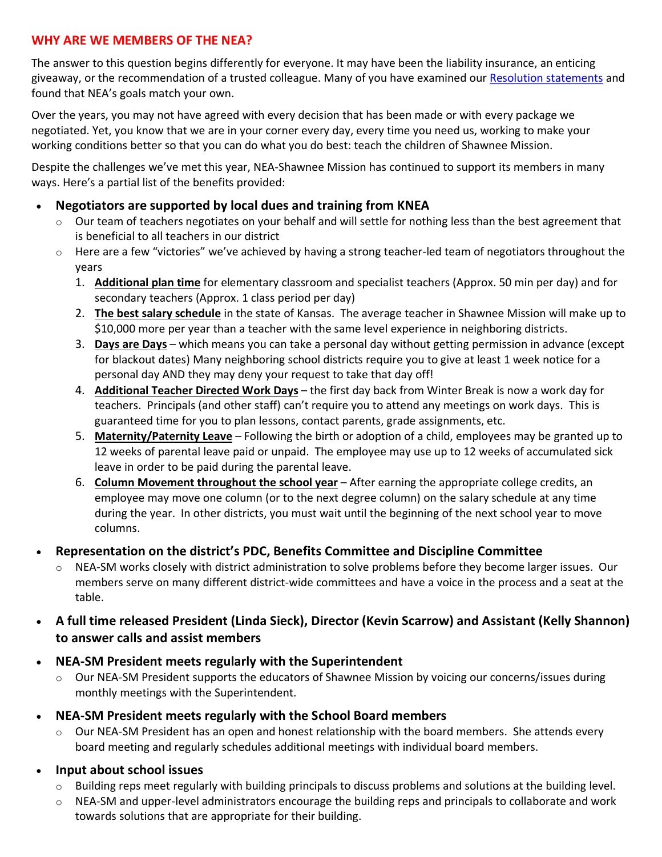# **WHY ARE WE MEMBERS OF THE NEA?**

The answer to this question begins differently for everyone. It may have been the liability insurance, an enticing giveaway, or the recommendation of a trusted colleague. Many of you have examined our Resolution statements and found that NEA's goals match your own.

Over the years, you may not have agreed with every decision that has been made or with every package we negotiated. Yet, you know that we are in your corner every day, every time you need us, working to make your working conditions better so that you can do what you do best: teach the children of Shawnee Mission.

Despite the challenges we've met this year, NEA-Shawnee Mission has continued to support its members in many ways. Here's a partial list of the benefits provided:

#### • **Negotiators are supported by local dues and training from KNEA**

- $\circ$  Our team of teachers negotiates on your behalf and will settle for nothing less than the best agreement that is beneficial to all teachers in our district
- $\circ$  Here are a few "victories" we've achieved by having a strong teacher-led team of negotiators throughout the years
	- 1. **Additional plan time** for elementary classroom and specialist teachers (Approx. 50 min per day) and for secondary teachers (Approx. 1 class period per day)
	- 2. **The best salary schedule** in the state of Kansas. The average teacher in Shawnee Mission will make up to \$10,000 more per year than a teacher with the same level experience in neighboring districts.
	- 3. **Days are Days** which means you can take a personal day without getting permission in advance (except for blackout dates) Many neighboring school districts require you to give at least 1 week notice for a personal day AND they may deny your request to take that day off!
	- 4. **Additional Teacher Directed Work Days** the first day back from Winter Break is now a work day for teachers. Principals (and other staff) can't require you to attend any meetings on work days. This is guaranteed time for you to plan lessons, contact parents, grade assignments, etc.
	- 5. **Maternity/Paternity Leave** Following the birth or adoption of a child, employees may be granted up to 12 weeks of parental leave paid or unpaid. The employee may use up to 12 weeks of accumulated sick leave in order to be paid during the parental leave.
	- 6. **Column Movement throughout the school year** After earning the appropriate college credits, an employee may move one column (or to the next degree column) on the salary schedule at any time during the year. In other districts, you must wait until the beginning of the next school year to move columns.

#### • **Representation on the district's PDC, Benefits Committee and Discipline Committee**

- $\circ$  NEA-SM works closely with district administration to solve problems before they become larger issues. Our members serve on many different district-wide committees and have a voice in the process and a seat at the table.
- **A full time released President (Linda Sieck), Director (Kevin Scarrow) and Assistant (Kelly Shannon) to answer calls and assist members**
- **NEA-SM President meets regularly with the Superintendent** 
	- o Our NEA-SM President supports the educators of Shawnee Mission by voicing our concerns/issues during monthly meetings with the Superintendent.
- **NEA-SM President meets regularly with the School Board members**
	- o Our NEA-SM President has an open and honest relationship with the board members. She attends every board meeting and regularly schedules additional meetings with individual board members.
- **Input about school issues**
	- o Building reps meet regularly with building principals to discuss problems and solutions at the building level.
	- $\circ$  NEA-SM and upper-level administrators encourage the building reps and principals to collaborate and work towards solutions that are appropriate for their building.